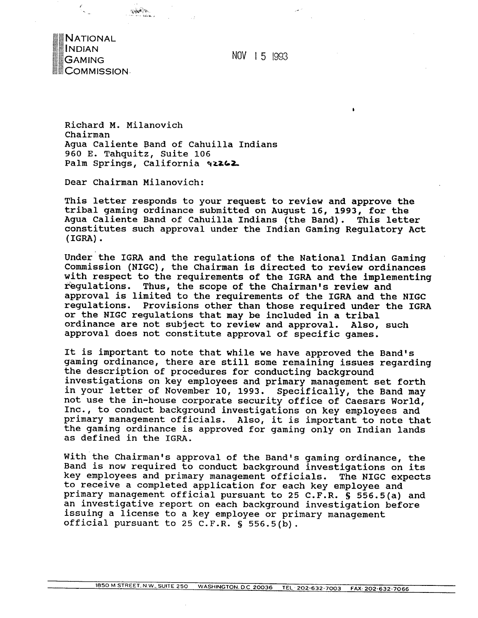

NOV 1 5 1993

Richard M. Milanovich Chairman Agua Caliente Band of Cahuilla Indians 960 E. Tahquitz, Suite 106 Palm Springs, California 92262

Dear Chairman Milanovich:

This letter responds to your request to review and approve the tribal gaming ordinance submitted on August 16, 1993, for the Agua Caliente Band of Cahuilla Indians (the Band). This letter constitutes such approval under the Indian Gaming Regulatory Act (IGRA) .

Under the IGRA and the regulations of the National Indian Gaming Commission (NIGC), the chairman is directed to review ordinances with respect to the requirements of the IGRA and the implementing regulations. Thus, the scope of the Chairman's review and approval is limited to the requirements of the IGRA and the NIGC regulations. Provisions other than those required under the IGRA or the NIGC regulations that may be included in a tribal<br>ordinance are not subject to review and approval. Also, such ordinance are not subject to review and approval. approval does not constitute approval of specific games.

It is important to note that while we have approved the Band's gaming ordinance, there are still some remaining issues regarding the description of procedures for conducting background investigations on key employees and primary management set forth in your letter of November 10, 1993. Specifically, the Band may not use the in-house corporate security office of Caesars World, Inc., to conduct background investigations on key employees and primary management officials. Also, it is important to note that the gaming ordinance is approved for gaming only on Indian lands as defined in the IGRA.

With the Chairman's approval of the Band's gaming ordinance, the Band is now required to conduct background investigations on its key employees and primary management officials. The NIGC expects to receive a completed application for each key employee and primary management official pursuant to 25 C.F.R. § 556.5(a) and an investigative report on each background investigation before issuing a license to a key employee or primary management official pursuant to 25 C.F.R. § 556.5(b).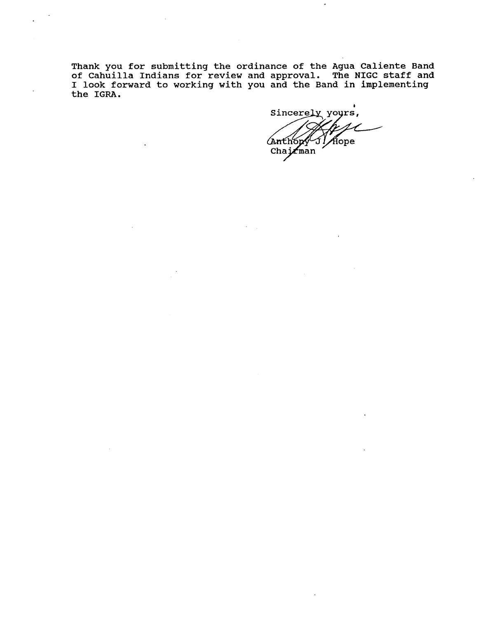**Thank you for submitting the ordinance of the Agua Caliente Band of Cahuilla Indians for review and approval. The NIGC staff and I look forward to working with you and the Band in implementing the IGRA.** 

**b** Aope Anthony<br>Chairman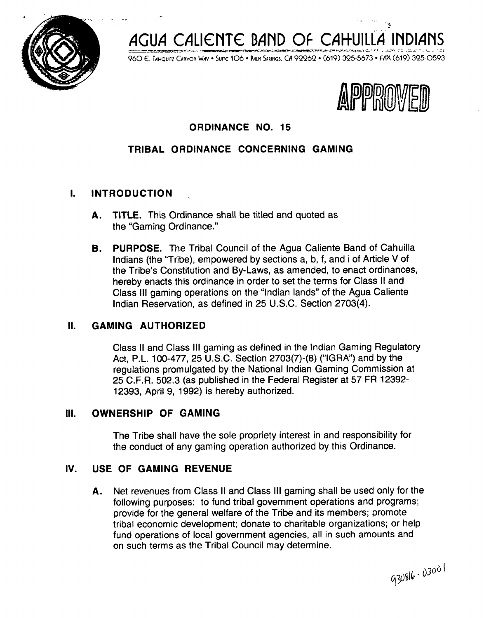



960 E. TAHQUITZ CANYON WAY · SUITE 106 · PALM SPRINGS. CA 92262 · (619) 325-5673 · FAX (619) 325-0593



 $\omega_{\rm c} = 0.1$ 

# **ORDINANCE NO. 15**

# **TRIBAL ORDINANCE CONCERNING GAMING**

### **I. INTRODUCTION** .

%

- **A. TITLE.** This Ordinance shall be titled and quoted as the "Gaming Ordinance."
- **8. PURPOSE.** The Tribal Council of the Agua Caliente Band of Cahuilla Indians (the "Tribe), empowered by sections a, b, f, and i of Article V of the Tribe's Constitution and By-Laws, as amended, to enact ordinances, hereby enacts this ordinance in order to set the terms for Class II and Class Ill gaming operations on the "lndian lands" of the Agua Caliente lndian Reservation, as defined in 25 U.S.C. Section 2703(4).

### **II. GAMING AUTHORIZED**

Class **II** and Class Ill gaming as defined in the lndian Gaming Regulatory Act, P.L. 100-477, 25 U.S.C. Section 2703(7)-(8) ("IGRA") and by the regulations promulgated by the National lndian Gaming Commission at 25 C.F.R. 502.3 (as published in the Federal Register at 57 FR 12392- 12393, April 9, 1992) is hereby authorized.

### **Ill. OWNERSHIP OF GAMING**

The Tribe shall have the sole propriety interest in and responsibility for the conduct of any gaming operation authorized by this Ordinance.

## **IV. USE OF GAMING REVENUE**

**A.** Net revenues from Class II and Class Ill gaming shall be used only for the following purposes: to fund tribal government operations and programs; provide for the general welfare of the Tribe and its members; promote tribal economic development; donate to charitable organizations; or help fund operations of local government agencies, all in such amounts and on such terms as the Tribal Council may determine.

930816-03001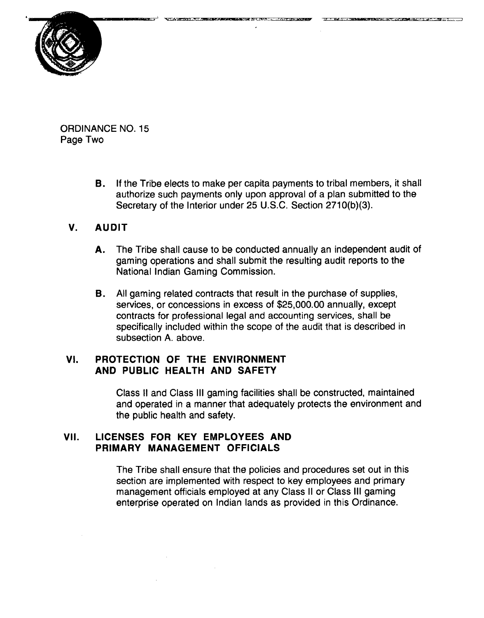

ORDINANCE NO. 15 Page Two

> **B.** If the Tribe elects to make per capita payments to tribal members, it shall authorize such payments only upon approval of a plan submitted to the Secretary of the Interior under 25 U.S.C. Section 2710(b)(3).

#### **V. AUDIT**

- **A.** The Tribe shall cause to be conducted annually an independent audit of gaming operations and shall submit the resulting audit reports to the National Indian Gaming Commission.
- B. All gaming related contracts that result in the purchase of supplies, services, or concessions in excess of \$25,000.00 annually, except contracts for professional legal and accounting services, shall be specifically included within the scope of the audit that is described in subsection A. above.

### **VI. PROTECTION OF THE ENVIRONMENT AND PUBLIC HEALTH AND SAFETY**

Class II and Class Ill gaming facilities shall be constructed, maintained and operated in a manner that adequately protects the environment and the public health and safety.

### **VII. LICENSES FOR KEY EMPLOYEES AND PRIMARY MANAGEMENT OFFICIALS**

The Tribe shall ensure that the policies and procedures set out in this section are implemented with respect to key employees and primary management officials employed at any Class II or Class Ill gaming enterprise operated on Indian lands as provided in this Ordinance.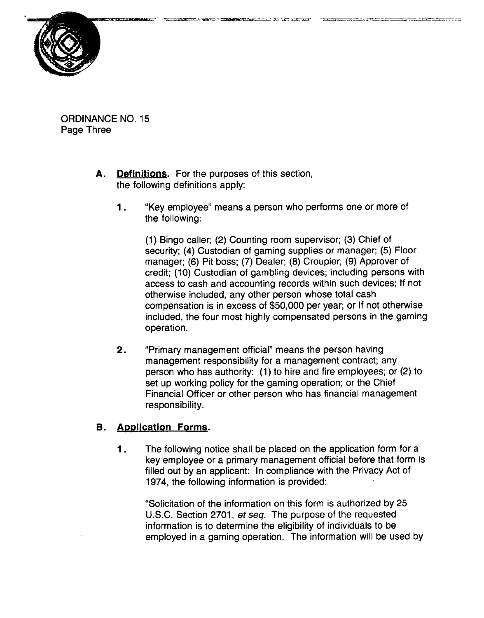

ORDINANCE NO. 15 Page Three

- **A. Definitions.** For the purposes of this section, the following definitions apply:
	- **<sup>1</sup>**. "Key employee" means a person who performs one or more of the following:

(1) Bingo caller; (2) Counting room supervisor; (3) Chief of security; (4) Custodian of gaming supplies or manager; (5) Floor manager; (6) Pit boss; (7) Dealer; (8) Croupier; (9) Approver of credit; (10) Custodian of gambling devices; including persons with access to cash and accounting records within such devices; If not otherwise included, any other person whose total cash compensation is in excess of \$50,000 per year; or If not otherwise included, the four most highly compensated persons in the gaming operation.

**2.** "Primary management official" means the person having management responsibility for a management contract; any person who has authority: (1) to hire and fire employees; or (2) to set up working policy for the gaming operation; or the Chief Financial Officer or other person who has financial management responsibility.

#### **B.** Application Forms.

**<sup>1</sup>**. The following notice shall be placed on the application form for a key employee or a primary management official before that form is filled out by an applicant: In compliance with the Privacy Act of 1974, the following information is provided:

"Solicitation of the information on this form is authorized by 25 U.S.C. Section 2701, **et** seq. The purpose of the requested information is to determine the eligibility of individuals to be employed in a gaming operation. The information will be used by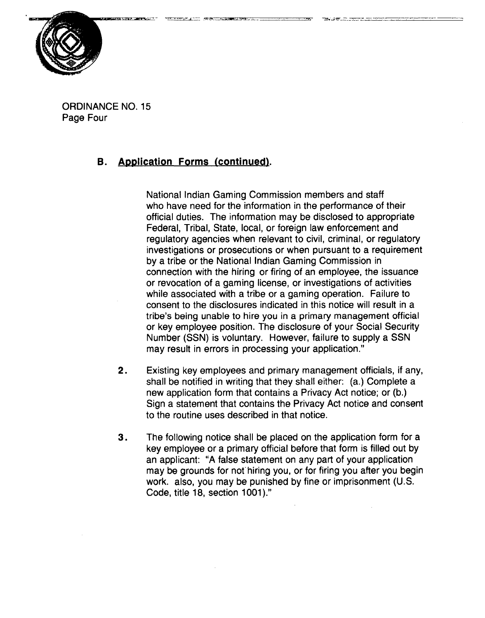

ORDINANCE NO. 15 Page Four

# **B.** Application Forms (continued).

National Indian Gaming Commission members and staff who have need for the information in the performance of their official duties. The information may be disclosed to appropriate Federal, Tribal, State, local, or foreign law enforcement and regulatory agencies when relevant to civil, criminal, or regulatory investigations or prosecutions or when pursuant to a requirement by a tribe or the National Indian Gaming Commission in connection with the hiring or firing of an employee, the issuance or revocation of a gaming license, or investigations of activities while associated with a tribe or a gaming operation. Failure to consent to the disclosures indicated in this notice will result in a tribe's being unable to hire you in a primary management official or key employee position. The disclosure of your Social Security Number (SSN) is voluntary. However, failure to supply a SSN may result in errors in processing your application."

- $2.$ Existing key employees and primary management officials, if any, shall be notified in writing that they shall either: (a.) Complete a new application form that contains a Privacy Act notice; or (b.) Sign a statement that contains the Privacy Act notice and consent to the routine uses described in that notice.
- 3. The following notice shall be placed on the application form for a key employee or a primary official before that form is filled out by an applicant: **"A** false statement on any part of your application may be grounds for not'hiring you, or for firing you after you begin work. also, you may be punished by fine or imprisonment (U.S. Code, title 18, section 1001)."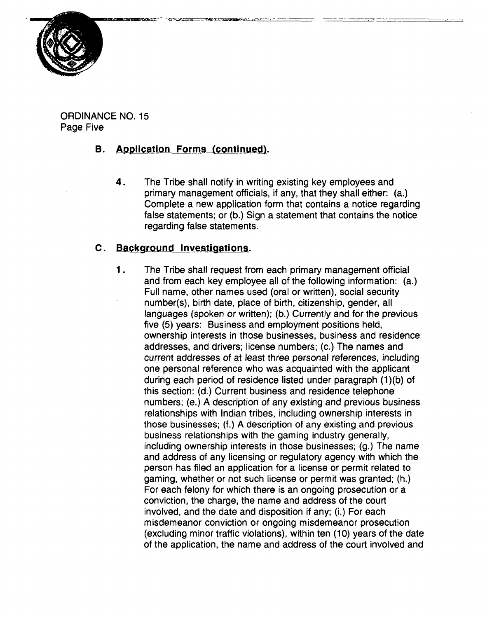

ORDINANCE NO. 15 Page Five

# **B.** Application Forms (continued).

**4.** The Tribe shall notify in writing existing key employees and primary management officials, if any, that they shall either: (a.) Complete a new application form that contains a notice regarding false statements; or (b.) Sign a statement that contains the notice regarding false statements.

# **C. Backaround Investiaationg.**

1. The Tribe shall request from each primary management official and from each key employee all of the following information: (a.) Full name, other names used (oral or written), social security number(s), birth date, place of birth, citizenship, gender, all languages (spoken or written); (b.) Currently and for **the** previous five (5) years: Business and employment positions held, ownership interests in those businesses, business and residence addresses, and drivers; license numbers; (c.) The names and current addresses of at least three personal references, including one personal reference who was acquainted with the applicant during each period of residence listed under paragraph (1)(b) of this section: (d.) Current business and residence telephone numbers; (e.) A description of any existing and previous business relationships with Indian tribes, including ownership interests in those businesses; (f.) A description of any existing and previous business relationships with the gaming industry generally, including ownership interests in those businesses; (g.) The name and address of any licensing or regulatory agency with which the person has filed an application for a license or permit related to gaming, whether or not such license or permit was granted; (h.) For each felony for which there is an ongoing prosecution or a conviction, the charge, the name and address of the court involved, and the date and disposition if any; (i.) For each misdemeanor conviction or ongoing misdemeanor prosecution (excluding minor traffic violations), within ten (10) years of the date of the application, the name and address of the court involved and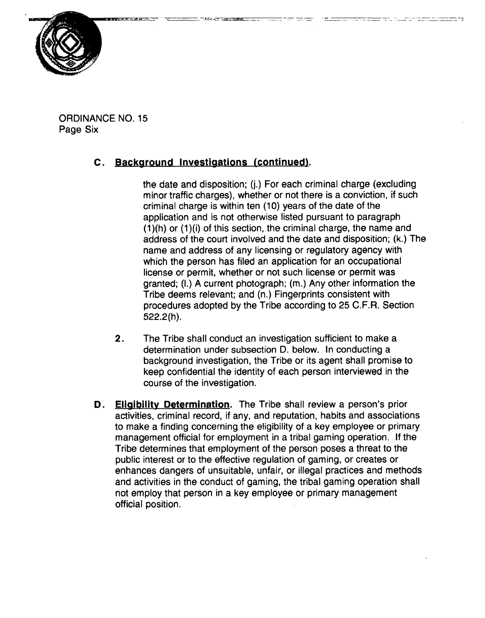

ORDINANCE NO. 15 Page Six

# **<sup>C</sup>**. **Backaround lnvestiaations (continued).**

the date and disposition; (j.) For each criminal charge (excluding minor traffic charges), whether or not there is a conviction, if such criminal charge is within ten (10) years of the date of the application and is not otherwise listed pursuant to paragraph  $(1)(h)$  or  $(1)(i)$  of this section, the criminal charge, the name and address of the court involved and the date and disposition; (k.) The name and address of any licensing or regulatory agency with which the person has filed an application for an occupational license or permit, whether or not such license or permit was granted; (I.) A current photograph; (m.) Any other information the Tribe deems relevant; and (n.) Fingerprints consistent with procedures adopted by the Tribe according to 25 C.F.R. Section 522.2(h).

- **2.** The Tribe shall conduct an investigation sufficient to make a determination under subsection D. below. In conducting a background investigation, the Tribe or its agent shall promise to keep confidential the identity of each person interviewed in the course of the investigation.
- **Eligibility Determination.** The Tribe shall review a person's prior D. activities, criminal record, if any, and reputation, habits and associations to make a finding concerning the eligibility of a key employee or primary management official for employment in a tribal gaming operation. If the Tribe determines that employment of the person poses a threat to the public interest or to the effective regulation of gaming, or creates or enhances dangers of unsuitable, unfair, or illegal practices and methods and activities in the conduct of gaming, the tribal gaming operation shall not employ that person in a key employee or primary management official position.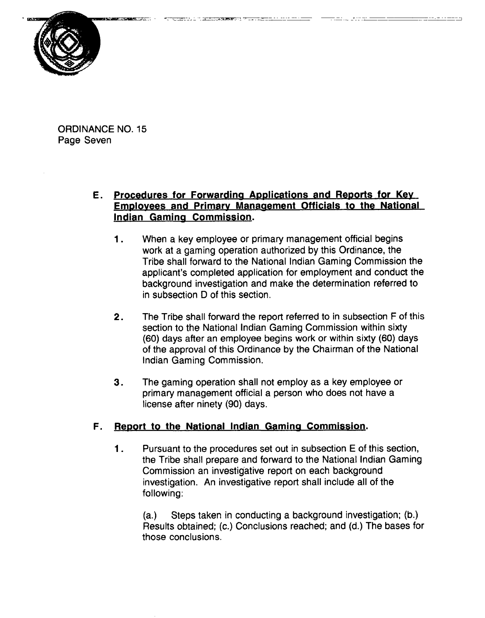

ORDINANCE NO. 15 Page Seven

## **E. Procedures for Forwardina Applications and Reports for Kev Employees and Primary Management Officials to the National lndian Gamina Commission.**

- **<sup>1</sup>**. When a key employee or primary management official begins work at a gaming operation authorized by this Ordinance, the Tribe shall forward to the National lndian Gaming Commission the applicant's completed application for employment and conduct the background investigation and make the determination referred to in subsection D of this section.
- **2.** The Tribe shall forward the report referred to in subsection F of this section to the National lndian Gaming Commission within sixty (60) days after an employee begins work or within sixty (60) days of the approval of this Ordinance by the Chairman of the National lndian Gaming Commission.
- **3.** The gaming operation shall not employ as a key employee or primary management official a person who does not have a license after ninety (90) days.

## **F.** Report to the National Indian Gaming Commission.

**<sup>1</sup>**. Pursuant to the procedures set out in subsection E of this section, the Tribe shall prepare and forward to the National lndian Gaming Commission an investigative report on each background investigation. An investigative report shall include all of the following:

(a.) Steps taken in conducting a background investigation; (b.) Results obtained; (c.) Conclusions reached; and (d.) The bases for those conclusions.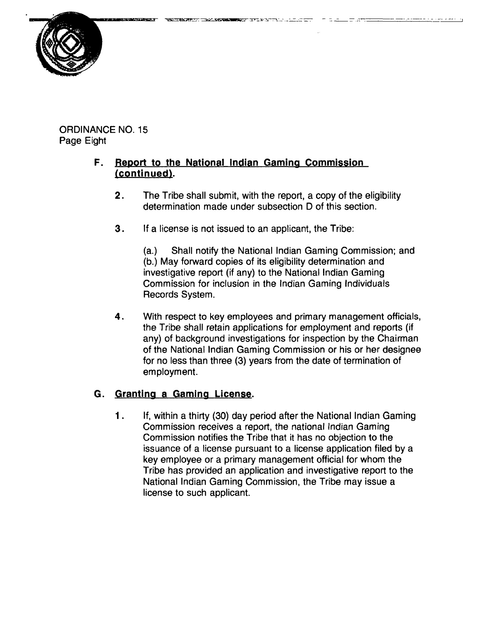ORDINANCE NO. 15 Page Eight

# **F.** Report to the National Indian Gaming Commission (continued).

**2.** The Tribe shall submit, with the report, a copy of the eligibility determination made under subsection D of this section.

הקרי, מייד, ואיקרקיית ב<del>ונד קו</del>פי

**3.** If a license is not issued to an applicant, the Tribe:

(a.) Shall notify the National lndian Gaming Commission; and (b.) May forward copies of its eligibility determination and investigative report (if any) to the National lndian Gaming Commission for inclusion in the lndian Gaming Individuals Records System.

**4.** With respect to key employees and primary management officials, the Tribe shall retain applications for employment and reports (if any) of background investigations for inspection by the Chairman of the National lndian Gaming Commission or his or her designee for no less than three (3) years from the date of termination of employment.

# **G. Grantina a Gamina License.**

 $1.$ If, within a thirty (30) day period after the National lndian Gaming Commission receives a report, the national lndian Gaming Commission notifies the Tribe that it has no objection to the issuance of a license pursuant to a license application filed by a key employee or a primary management official for whom the Tribe has provided an application and investigative report to the National lndian Gaming Commission, the Tribe may issue a license to such applicant.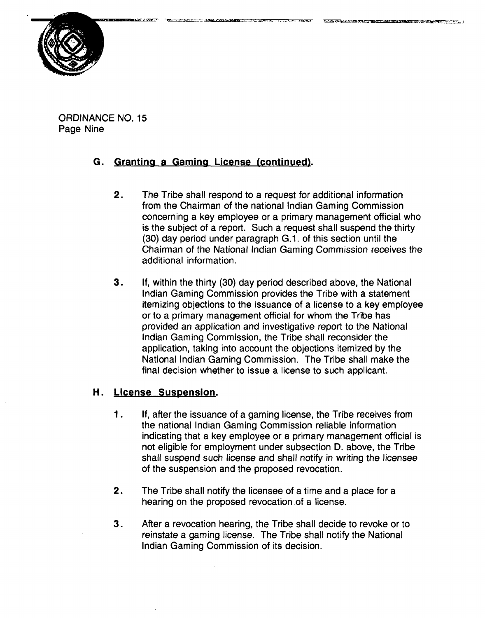

ORDINANCE NO. 15 Page Nine

### **G. Grantina a Gamina License (continued).**

- **2.** The Tribe shall respond to a request for additional information from the Chairman of the national lndian Gaming Commission concerning a key employee or a primary management official who is the subject of a report. Such a request shall suspend the thirty (30) day period under paragraph G.1. of this section until the Chairman of the National lndian Gaming Commission receives the additional information.
- **3.** If, within the thirty (30) day period described above, the National lndian Gaming Commission provides the Tribe with a statement itemizing objections to the issuance of a license to a key employee or to a primary management official for whom the Tribe has provided an application and investigative report to the National lndian Gaming Commission, the Tribe shall reconsider the application, taking into account the objections itemized by the National lndian Gaming Commission. The Tribe shall make the final decision whether to issue a license to such applicant.

### **H.** License Suspension.

- **<sup>1</sup>**. If, after the issuance of a gaming license, the Tribe receives from the national lndian Gaming Commission reliable information indicating that a key employee or a primary management official is not eligible for employment under subsection D. above, the Tribe shall suspend such license and shall notify in writing the licensee of the suspension and the proposed revocation.
- **2.** The Tribe shall notify the licensee of a time and a place for a hearing on the proposed revocation.of a license.
- **3.** After a revocation hearing, the Tribe shall decide to revoke or to reinstate a gaming license. The Tribe shall notify the National lndian Gaming Commission of its decision.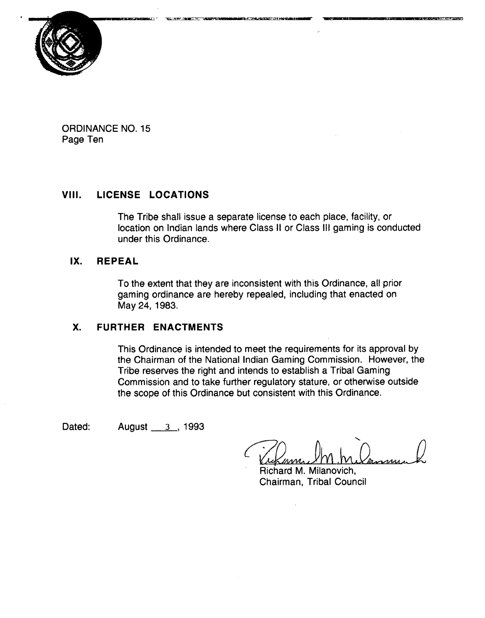

ORDINANCE NO. 15 Page Ten

# **VIII. LICENSE LOCATIONS**

The Tribe shall issue a separate license to each place, facility, or location on Indian lands where Class II or Class Ill gaming is conducted under this Ordinance.

## **IX. REPEAL**

To the extent that they are inconsistent with this Ordinance, all prior gaming ordinance are hereby repealed, including that enacted on May 24, 1983.

## **X. FURTHER ENACTMENTS**

This Ordinance is intended to meet the requirements for its approval by the Chairman of the National lndian Gaming Commission. However, the Tribe reserves the right and intends to establish a Tribal Gaming Commission and to take further regulatory stature, or otherwise outside the scope of this Ordinance but consistent with this Ordinance.

Dated: **August** 3, 1993

Richard M. Milanovich, Chairman, Tribal Council